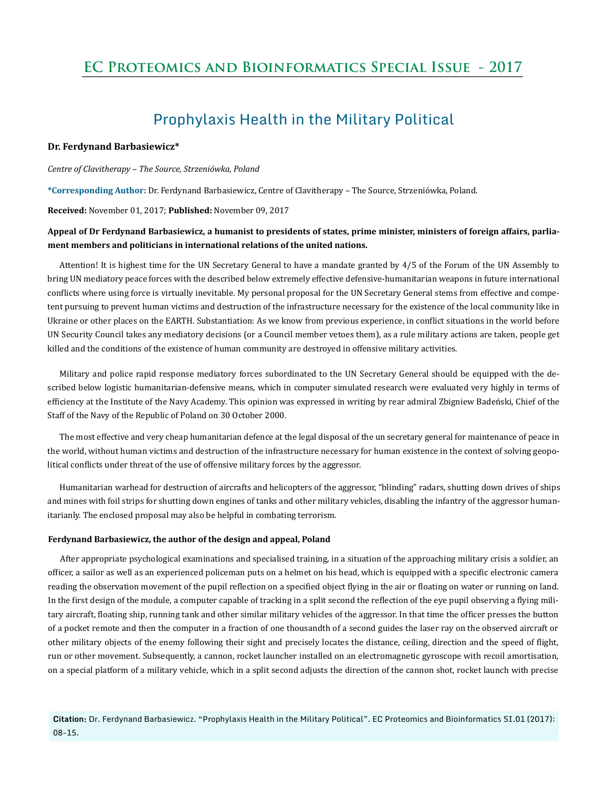# **EC Proteomics and Bioinformatics Special Issue - 2017**

# Prophylaxis Health in the Military Political

# **Dr. Ferdynand Barbasiewicz\***

*Centre of Clavitherapy – The Source, Strzeniówka, Poland* 

**\*Corresponding Author:** Dr. Ferdynand Barbasiewicz, Centre of Clavitherapy – The Source, Strzeniówka, Poland.

**Received:** November 01, 2017; **Published:** November 09, 2017

# **Appeal of Dr Ferdynand Barbasiewicz, a humanist to presidents of states, prime minister, ministers of foreign affairs, parliament members and politicians in international relations of the united nations.**

Attention! It is highest time for the UN Secretary General to have a mandate granted by 4/5 of the Forum of the UN Assembly to bring UN mediatory peace forces with the described below extremely effective defensive-humanitarian weapons in future international conflicts where using force is virtually inevitable. My personal proposal for the UN Secretary General stems from effective and competent pursuing to prevent human victims and destruction of the infrastructure necessary for the existence of the local community like in Ukraine or other places on the EARTH. Substantiation: As we know from previous experience, in conflict situations in the world before UN Security Council takes any mediatory decisions (or a Council member vetoes them), as a rule military actions are taken, people get killed and the conditions of the existence of human community are destroyed in offensive military activities.

Military and police rapid response mediatory forces subordinated to the UN Secretary General should be equipped with the described below logistic humanitarian-defensive means, which in computer simulated research were evaluated very highly in terms of efficiency at the Institute of the Navy Academy. This opinion was expressed in writing by rear admiral Zbigniew Badeński, Chief of the Staff of the Navy of the Republic of Poland on 30 October 2000.

The most effective and very cheap humanitarian defence at the legal disposal of the un secretary general for maintenance of peace in the world, without human victims and destruction of the infrastructure necessary for human existence in the context of solving geopolitical conflicts under threat of the use of offensive military forces by the aggressor.

Humanitarian warhead for destruction of aircrafts and helicopters of the aggressor, "blinding" radars, shutting down drives of ships and mines with foil strips for shutting down engines of tanks and other military vehicles, disabling the infantry of the aggressor humanitarianly. The enclosed proposal may also be helpful in combating terrorism.

#### **Ferdynand Barbasiewicz, the author of the design and appeal, Poland**

After appropriate psychological examinations and specialised training, in a situation of the approaching military crisis a soldier, an officer, a sailor as well as an experienced policeman puts on a helmet on his head, which is equipped with a specific electronic camera reading the observation movement of the pupil reflection on a specified object flying in the air or floating on water or running on land. In the first design of the module, a computer capable of tracking in a split second the reflection of the eye pupil observing a flying military aircraft, floating ship, running tank and other similar military vehicles of the aggressor. In that time the officer presses the button of a pocket remote and then the computer in a fraction of one thousandth of a second guides the laser ray on the observed aircraft or other military objects of the enemy following their sight and precisely locates the distance, ceiling, direction and the speed of flight, run or other movement. Subsequently, a cannon, rocket launcher installed on an electromagnetic gyroscope with recoil amortisation, on a special platform of a military vehicle, which in a split second adjusts the direction of the cannon shot, rocket launch with precise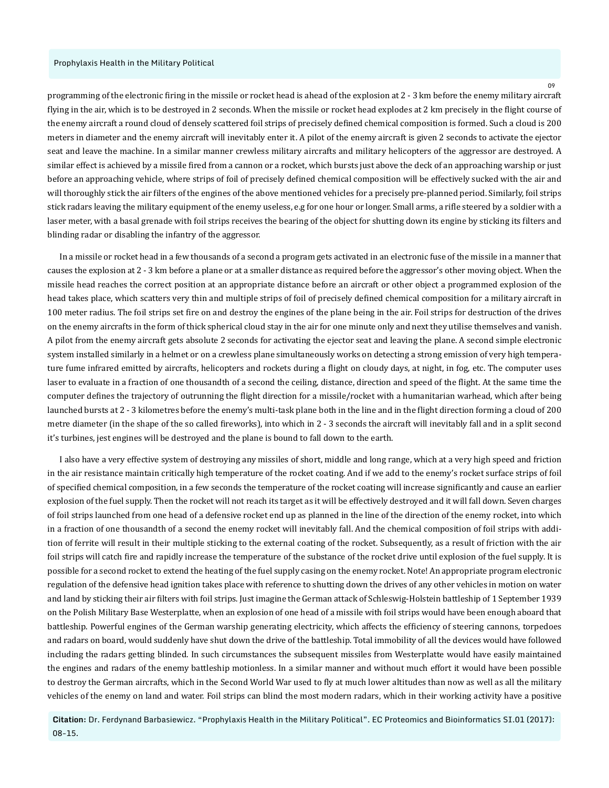programming of the electronic firing in the missile or rocket head is ahead of the explosion at 2 - 3 km before the enemy military aircraft flying in the air, which is to be destroyed in 2 seconds. When the missile or rocket head explodes at 2 km precisely in the flight course of the enemy aircraft a round cloud of densely scattered foil strips of precisely defined chemical composition is formed. Such a cloud is 200 meters in diameter and the enemy aircraft will inevitably enter it. A pilot of the enemy aircraft is given 2 seconds to activate the ejector seat and leave the machine. In a similar manner crewless military aircrafts and military helicopters of the aggressor are destroyed. A similar effect is achieved by a missile fired from a cannon or a rocket, which bursts just above the deck of an approaching warship or just before an approaching vehicle, where strips of foil of precisely defined chemical composition will be effectively sucked with the air and will thoroughly stick the air filters of the engines of the above mentioned vehicles for a precisely pre-planned period. Similarly, foil strips stick radars leaving the military equipment of the enemy useless, e.g for one hour or longer. Small arms, a rifle steered by a soldier with a laser meter, with a basal grenade with foil strips receives the bearing of the object for shutting down its engine by sticking its filters and blinding radar or disabling the infantry of the aggressor.

In a missile or rocket head in a few thousands of a second a program gets activated in an electronic fuse of the missile in a manner that causes the explosion at 2 - 3 km before a plane or at a smaller distance as required before the aggressor's other moving object. When the missile head reaches the correct position at an appropriate distance before an aircraft or other object a programmed explosion of the head takes place, which scatters very thin and multiple strips of foil of precisely defined chemical composition for a military aircraft in 100 meter radius. The foil strips set fire on and destroy the engines of the plane being in the air. Foil strips for destruction of the drives on the enemy aircrafts in the form of thick spherical cloud stay in the air for one minute only and next they utilise themselves and vanish. A pilot from the enemy aircraft gets absolute 2 seconds for activating the ejector seat and leaving the plane. A second simple electronic system installed similarly in a helmet or on a crewless plane simultaneously works on detecting a strong emission of very high temperature fume infrared emitted by aircrafts, helicopters and rockets during a flight on cloudy days, at night, in fog, etc. The computer uses laser to evaluate in a fraction of one thousandth of a second the ceiling, distance, direction and speed of the flight. At the same time the computer defines the trajectory of outrunning the flight direction for a missile/rocket with a humanitarian warhead, which after being launched bursts at 2 - 3 kilometres before the enemy's multi-task plane both in the line and in the flight direction forming a cloud of 200 metre diameter (in the shape of the so called fireworks), into which in 2 - 3 seconds the aircraft will inevitably fall and in a split second it's turbines, jest engines will be destroyed and the plane is bound to fall down to the earth.

I also have a very effective system of destroying any missiles of short, middle and long range, which at a very high speed and friction in the air resistance maintain critically high temperature of the rocket coating. And if we add to the enemy's rocket surface strips of foil of specified chemical composition, in a few seconds the temperature of the rocket coating will increase significantly and cause an earlier explosion of the fuel supply. Then the rocket will not reach its target as it will be effectively destroyed and it will fall down. Seven charges of foil strips launched from one head of a defensive rocket end up as planned in the line of the direction of the enemy rocket, into which in a fraction of one thousandth of a second the enemy rocket will inevitably fall. And the chemical composition of foil strips with addition of ferrite will result in their multiple sticking to the external coating of the rocket. Subsequently, as a result of friction with the air foil strips will catch fire and rapidly increase the temperature of the substance of the rocket drive until explosion of the fuel supply. It is possible for a second rocket to extend the heating of the fuel supply casing on the enemy rocket. Note! An appropriate program electronic regulation of the defensive head ignition takes place with reference to shutting down the drives of any other vehicles in motion on water and land by sticking their air filters with foil strips. Just imagine the German attack of Schleswig-Holstein battleship of 1 September 1939 on the Polish Military Base Westerplatte, when an explosion of one head of a missile with foil strips would have been enough aboard that battleship. Powerful engines of the German warship generating electricity, which affects the efficiency of steering cannons, torpedoes and radars on board, would suddenly have shut down the drive of the battleship. Total immobility of all the devices would have followed including the radars getting blinded. In such circumstances the subsequent missiles from Westerplatte would have easily maintained the engines and radars of the enemy battleship motionless. In a similar manner and without much effort it would have been possible to destroy the German aircrafts, which in the Second World War used to fly at much lower altitudes than now as well as all the military vehicles of the enemy on land and water. Foil strips can blind the most modern radars, which in their working activity have a positive

**Citation:** Dr. Ferdynand Barbasiewicz. "Prophylaxis Health in the Military Political". EC Proteomics and Bioinformatics SI.01 (2017): 08-15.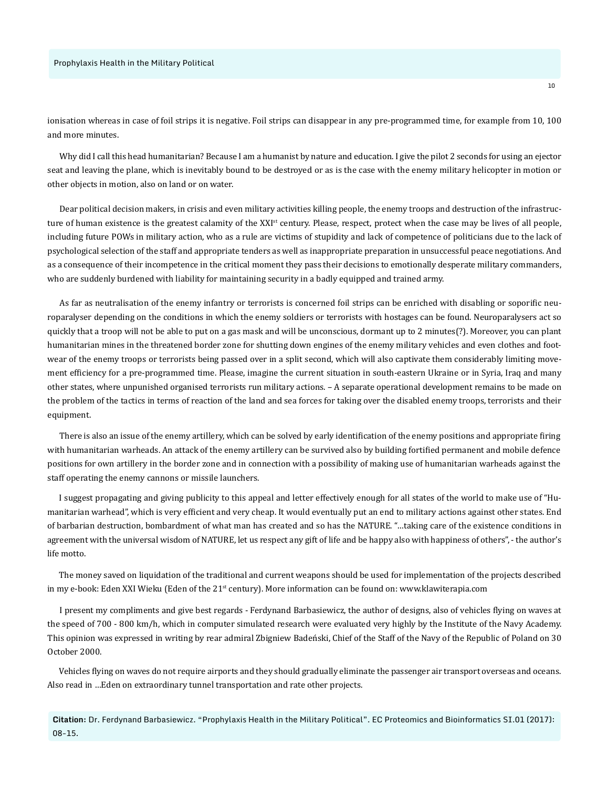ionisation whereas in case of foil strips it is negative. Foil strips can disappear in any pre-programmed time, for example from 10, 100 and more minutes.

Why did I call this head humanitarian? Because I am a humanist by nature and education. I give the pilot 2 seconds for using an ejector seat and leaving the plane, which is inevitably bound to be destroyed or as is the case with the enemy military helicopter in motion or other objects in motion, also on land or on water.

Dear political decision makers, in crisis and even military activities killing people, the enemy troops and destruction of the infrastructure of human existence is the greatest calamity of the XXI<sup>st</sup> century. Please, respect, protect when the case may be lives of all people, including future POWs in military action, who as a rule are victims of stupidity and lack of competence of politicians due to the lack of psychological selection of the staff and appropriate tenders as well as inappropriate preparation in unsuccessful peace negotiations. And as a consequence of their incompetence in the critical moment they pass their decisions to emotionally desperate military commanders, who are suddenly burdened with liability for maintaining security in a badly equipped and trained army.

As far as neutralisation of the enemy infantry or terrorists is concerned foil strips can be enriched with disabling or soporific neuroparalyser depending on the conditions in which the enemy soldiers or terrorists with hostages can be found. Neuroparalysers act so quickly that a troop will not be able to put on a gas mask and will be unconscious, dormant up to 2 minutes(?). Moreover, you can plant humanitarian mines in the threatened border zone for shutting down engines of the enemy military vehicles and even clothes and footwear of the enemy troops or terrorists being passed over in a split second, which will also captivate them considerably limiting movement efficiency for a pre-programmed time. Please, imagine the current situation in south-eastern Ukraine or in Syria, Iraq and many other states, where unpunished organised terrorists run military actions. – A separate operational development remains to be made on the problem of the tactics in terms of reaction of the land and sea forces for taking over the disabled enemy troops, terrorists and their equipment.

There is also an issue of the enemy artillery, which can be solved by early identification of the enemy positions and appropriate firing with humanitarian warheads. An attack of the enemy artillery can be survived also by building fortified permanent and mobile defence positions for own artillery in the border zone and in connection with a possibility of making use of humanitarian warheads against the staff operating the enemy cannons or missile launchers.

I suggest propagating and giving publicity to this appeal and letter effectively enough for all states of the world to make use of "Humanitarian warhead", which is very efficient and very cheap. It would eventually put an end to military actions against other states. End of barbarian destruction, bombardment of what man has created and so has the NATURE. "…taking care of the existence conditions in agreement with the universal wisdom of NATURE, let us respect any gift of life and be happy also with happiness of others", - the author's life motto.

The money saved on liquidation of the traditional and current weapons should be used for implementation of the projects described in my e-book: Eden XXI Wieku (Eden of the  $21<sup>st</sup>$  century). More information can be found on: www.klawiterapia.com

I present my compliments and give best regards - Ferdynand Barbasiewicz, the author of designs, also of vehicles flying on waves at the speed of 700 - 800 km/h, which in computer simulated research were evaluated very highly by the Institute of the Navy Academy. This opinion was expressed in writing by rear admiral Zbigniew Badeński, Chief of the Staff of the Navy of the Republic of Poland on 30 October 2000.

Vehicles flying on waves do not require airports and they should gradually eliminate the passenger air transport overseas and oceans. Also read in …Eden on extraordinary tunnel transportation and rate other projects.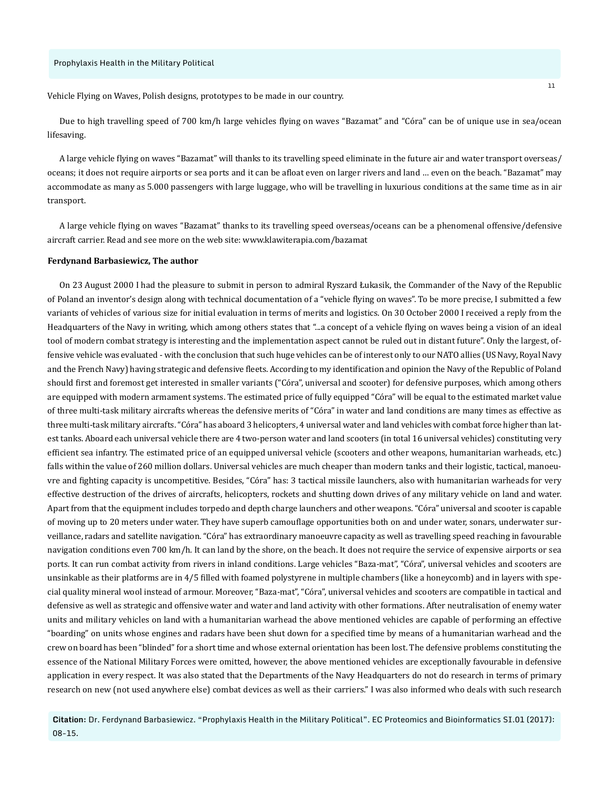Vehicle Flying on Waves, Polish designs, prototypes to be made in our country.

Due to high travelling speed of 700 km/h large vehicles flying on waves "Bazamat" and "Córa" can be of unique use in sea/ocean lifesaving.

A large vehicle flying on waves "Bazamat" will thanks to its travelling speed eliminate in the future air and water transport overseas/ oceans; it does not require airports or sea ports and it can be afloat even on larger rivers and land … even on the beach. "Bazamat" may accommodate as many as 5.000 passengers with large luggage, who will be travelling in luxurious conditions at the same time as in air transport.

A large vehicle flying on waves "Bazamat" thanks to its travelling speed overseas/oceans can be a phenomenal offensive/defensive aircraft carrier. Read and see more on the web site: www.klawiterapia.com/bazamat

# **Ferdynand Barbasiewicz, The author**

On 23 August 2000 I had the pleasure to submit in person to admiral Ryszard Łukasik, the Commander of the Navy of the Republic of Poland an inventor's design along with technical documentation of a "vehicle flying on waves". To be more precise, I submitted a few variants of vehicles of various size for initial evaluation in terms of merits and logistics. On 30 October 2000 I received a reply from the Headquarters of the Navy in writing, which among others states that "...a concept of a vehicle flying on waves being a vision of an ideal tool of modern combat strategy is interesting and the implementation aspect cannot be ruled out in distant future". Only the largest, offensive vehicle was evaluated - with the conclusion that such huge vehicles can be of interest only to our NATO allies (US Navy, Royal Navy and the French Navy) having strategic and defensive fleets. According to my identification and opinion the Navy of the Republic of Poland should first and foremost get interested in smaller variants ("Córa", universal and scooter) for defensive purposes, which among others are equipped with modern armament systems. The estimated price of fully equipped "Córa" will be equal to the estimated market value of three multi-task military aircrafts whereas the defensive merits of "Córa" in water and land conditions are many times as effective as three multi-task military aircrafts. "Córa" has aboard 3 helicopters, 4 universal water and land vehicles with combat force higher than latest tanks. Aboard each universal vehicle there are 4 two-person water and land scooters (in total 16 universal vehicles) constituting very efficient sea infantry. The estimated price of an equipped universal vehicle (scooters and other weapons, humanitarian warheads, etc.) falls within the value of 260 million dollars. Universal vehicles are much cheaper than modern tanks and their logistic, tactical, manoeuvre and fighting capacity is uncompetitive. Besides, "Córa" has: 3 tactical missile launchers, also with humanitarian warheads for very effective destruction of the drives of aircrafts, helicopters, rockets and shutting down drives of any military vehicle on land and water. Apart from that the equipment includes torpedo and depth charge launchers and other weapons. "Córa" universal and scooter is capable of moving up to 20 meters under water. They have superb camouflage opportunities both on and under water, sonars, underwater surveillance, radars and satellite navigation. "Córa" has extraordinary manoeuvre capacity as well as travelling speed reaching in favourable navigation conditions even 700 km/h. It can land by the shore, on the beach. It does not require the service of expensive airports or sea ports. It can run combat activity from rivers in inland conditions. Large vehicles "Baza-mat", "Córa", universal vehicles and scooters are unsinkable as their platforms are in 4/5 filled with foamed polystyrene in multiple chambers (like a honeycomb) and in layers with special quality mineral wool instead of armour. Moreover, "Baza-mat", "Córa", universal vehicles and scooters are compatible in tactical and defensive as well as strategic and offensive water and water and land activity with other formations. After neutralisation of enemy water units and military vehicles on land with a humanitarian warhead the above mentioned vehicles are capable of performing an effective "boarding" on units whose engines and radars have been shut down for a specified time by means of a humanitarian warhead and the crew on board has been "blinded" for a short time and whose external orientation has been lost. The defensive problems constituting the essence of the National Military Forces were omitted, however, the above mentioned vehicles are exceptionally favourable in defensive application in every respect. It was also stated that the Departments of the Navy Headquarters do not do research in terms of primary research on new (not used anywhere else) combat devices as well as their carriers." I was also informed who deals with such research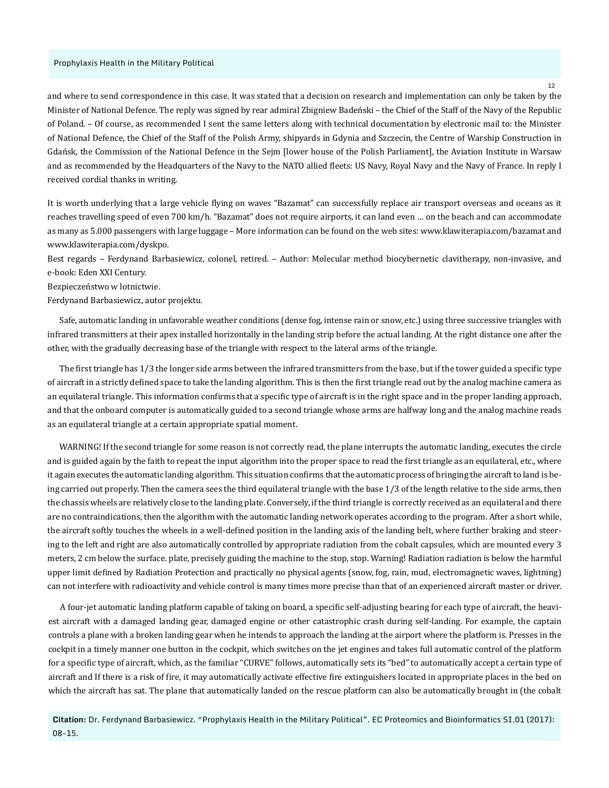and where to send correspondence in this case. It was stated that a decision on research and implementation can only be taken by the Minister of National Defence. The reply was signed by rear admiral Zbigniew Badeński – the Chief of the Staff of the Navy of the Republic of Poland. – Of course, as recommended I sent the same letters along with technical documentation by electronic mail to: the Minister of National Defence, the Chief of the Staff of the Polish Army, shipyards in Gdynia and Szczecin, the Centre of Warship Construction in Gdańsk, the Commission of the National Defence in the Sejm [lower house of the Polish Parliament], the Aviation Institute in Warsaw and as recommended by the Headquarters of the Navy to the NATO allied fleets: US Navy, Royal Navy and the Navy of France. In reply I received cordial thanks in writing.

It is worth underlying that a large vehicle flying on waves "Bazamat" can successfully replace air transport overseas and oceans as it reaches travelling speed of even 700 km/h. "Bazamat" does not require airports, it can land even … on the beach and can accommodate as many as 5.000 passengers with large luggage – More information can be found on the web sites: www.klawiterapia.com/bazamat and www.klawiterapia.com/dyskpo.

Best regards – Ferdynand Barbasiewicz, colonel, retired. – Author: Molecular method biocybernetic clavitherapy, non-invasive, and e-book: Eden XXI Century.

Bezpieczeństwo w lotnictwie.

Ferdynand Barbasiewicz, autor projektu.

Safe, automatic landing in unfavorable weather conditions (dense fog, intense rain or snow, etc.) using three successive triangles with infrared transmitters at their apex installed horizontally in the landing strip before the actual landing. At the right distance one after the other, with the gradually decreasing base of the triangle with respect to the lateral arms of the triangle.

The first triangle has 1/3 the longer side arms between the infrared transmitters from the base, but if the tower guided a specific type of aircraft in a strictly defined space to take the landing algorithm. This is then the first triangle read out by the analog machine camera as an equilateral triangle. This information confirms that a specific type of aircraft is in the right space and in the proper landing approach, and that the onboard computer is automatically guided to a second triangle whose arms are halfway long and the analog machine reads as an equilateral triangle at a certain appropriate spatial moment.

WARNING! If the second triangle for some reason is not correctly read, the plane interrupts the automatic landing, executes the circle and is guided again by the faith to repeat the input algorithm into the proper space to read the first triangle as an equilateral, etc., where it again executes the automatic landing algorithm. This situation confirms that the automatic process of bringing the aircraft to land is being carried out properly. Then the camera sees the third equilateral triangle with the base 1/3 of the length relative to the side arms, then the chassis wheels are relatively close to the landing plate. Conversely, if the third triangle is correctly received as an equilateral and there are no contraindications, then the algorithm with the automatic landing network operates according to the program. After a short while, the aircraft softly touches the wheels in a well-defined position in the landing axis of the landing belt, where further braking and steering to the left and right are also automatically controlled by appropriate radiation from the cobalt capsules, which are mounted every 3 meters, 2 cm below the surface. plate, precisely guiding the machine to the stop, stop. Warning! Radiation radiation is below the harmful upper limit defined by Radiation Protection and practically no physical agents (snow, fog, rain, mud, electromagnetic waves, lightning) can not interfere with radioactivity and vehicle control is many times more precise than that of an experienced aircraft master or driver.

A four-jet automatic landing platform capable of taking on board, a specific self-adjusting bearing for each type of aircraft, the heaviest aircraft with a damaged landing gear, damaged engine or other catastrophic crash during self-landing. For example, the captain controls a plane with a broken landing gear when he intends to approach the landing at the airport where the platform is. Presses in the cockpit in a timely manner one button in the cockpit, which switches on the jet engines and takes full automatic control of the platform for a specific type of aircraft, which, as the familiar "CURVE" follows, automatically sets its "bed" to automatically accept a certain type of aircraft and If there is a risk of fire, it may automatically activate effective fire extinguishers located in appropriate places in the bed on which the aircraft has sat. The plane that automatically landed on the rescue platform can also be automatically brought in (the cobalt

**Citation:** Dr. Ferdynand Barbasiewicz. "Prophylaxis Health in the Military Political". EC Proteomics and Bioinformatics SI.01 (2017): 08-15.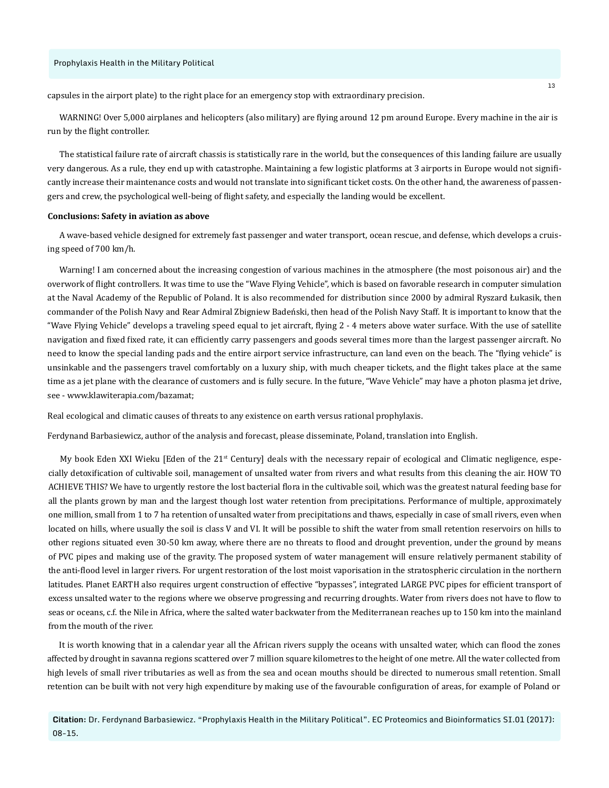capsules in the airport plate) to the right place for an emergency stop with extraordinary precision.

WARNING! Over 5,000 airplanes and helicopters (also military) are flying around 12 pm around Europe. Every machine in the air is run by the flight controller.

The statistical failure rate of aircraft chassis is statistically rare in the world, but the consequences of this landing failure are usually very dangerous. As a rule, they end up with catastrophe. Maintaining a few logistic platforms at 3 airports in Europe would not significantly increase their maintenance costs and would not translate into significant ticket costs. On the other hand, the awareness of passengers and crew, the psychological well-being of flight safety, and especially the landing would be excellent.

#### **Conclusions: Safety in aviation as above**

A wave-based vehicle designed for extremely fast passenger and water transport, ocean rescue, and defense, which develops a cruising speed of 700 km/h.

Warning! I am concerned about the increasing congestion of various machines in the atmosphere (the most poisonous air) and the overwork of flight controllers. It was time to use the "Wave Flying Vehicle", which is based on favorable research in computer simulation at the Naval Academy of the Republic of Poland. It is also recommended for distribution since 2000 by admiral Ryszard Łukasik, then commander of the Polish Navy and Rear Admiral Zbigniew Badeński, then head of the Polish Navy Staff. It is important to know that the "Wave Flying Vehicle" develops a traveling speed equal to jet aircraft, flying 2 - 4 meters above water surface. With the use of satellite navigation and fixed fixed rate, it can efficiently carry passengers and goods several times more than the largest passenger aircraft. No need to know the special landing pads and the entire airport service infrastructure, can land even on the beach. The "flying vehicle" is unsinkable and the passengers travel comfortably on a luxury ship, with much cheaper tickets, and the flight takes place at the same time as a jet plane with the clearance of customers and is fully secure. In the future, "Wave Vehicle" may have a photon plasma jet drive, see - www.klawiterapia.com/bazamat;

Real ecological and climatic causes of threats to any existence on earth versus rational prophylaxis.

Ferdynand Barbasiewicz, author of the analysis and forecast, please disseminate, Poland, translation into English.

My book Eden XXI Wieku [Eden of the 21<sup>st</sup> Century] deals with the necessary repair of ecological and Climatic negligence, especially detoxification of cultivable soil, management of unsalted water from rivers and what results from this cleaning the air. HOW TO ACHIEVE THIS? We have to urgently restore the lost bacterial flora in the cultivable soil, which was the greatest natural feeding base for all the plants grown by man and the largest though lost water retention from precipitations. Performance of multiple, approximately one million, small from 1 to 7 ha retention of unsalted water from precipitations and thaws, especially in case of small rivers, even when located on hills, where usually the soil is class V and VI. It will be possible to shift the water from small retention reservoirs on hills to other regions situated even 30-50 km away, where there are no threats to flood and drought prevention, under the ground by means of PVC pipes and making use of the gravity. The proposed system of water management will ensure relatively permanent stability of the anti-flood level in larger rivers. For urgent restoration of the lost moist vaporisation in the stratospheric circulation in the northern latitudes. Planet EARTH also requires urgent construction of effective "bypasses", integrated LARGE PVC pipes for efficient transport of excess unsalted water to the regions where we observe progressing and recurring droughts. Water from rivers does not have to flow to seas or oceans, c.f. the Nile in Africa, where the salted water backwater from the Mediterranean reaches up to 150 km into the mainland from the mouth of the river.

It is worth knowing that in a calendar year all the African rivers supply the oceans with unsalted water, which can flood the zones affected by drought in savanna regions scattered over 7 million square kilometres to the height of one metre. All the water collected from high levels of small river tributaries as well as from the sea and ocean mouths should be directed to numerous small retention. Small retention can be built with not very high expenditure by making use of the favourable configuration of areas, for example of Poland or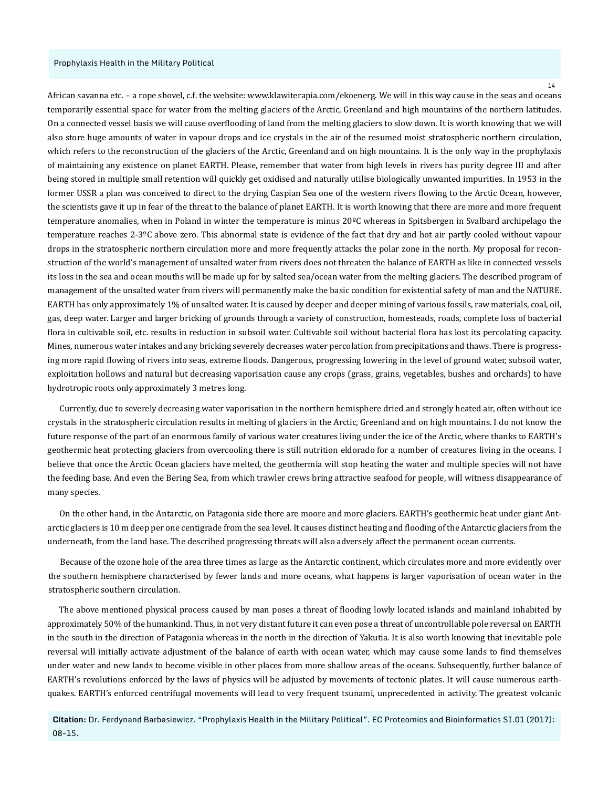African savanna etc. – a rope shovel, c.f. the website: www.klawiterapia.com/ekoenerg. We will in this way cause in the seas and oceans temporarily essential space for water from the melting glaciers of the Arctic, Greenland and high mountains of the northern latitudes. On a connected vessel basis we will cause overflooding of land from the melting glaciers to slow down. It is worth knowing that we will also store huge amounts of water in vapour drops and ice crystals in the air of the resumed moist stratospheric northern circulation, which refers to the reconstruction of the glaciers of the Arctic, Greenland and on high mountains. It is the only way in the prophylaxis of maintaining any existence on planet EARTH. Please, remember that water from high levels in rivers has purity degree III and after being stored in multiple small retention will quickly get oxidised and naturally utilise biologically unwanted impurities. In 1953 in the former USSR a plan was conceived to direct to the drying Caspian Sea one of the western rivers flowing to the Arctic Ocean, however, the scientists gave it up in fear of the threat to the balance of planet EARTH. It is worth knowing that there are more and more frequent temperature anomalies, when in Poland in winter the temperature is minus 20°C whereas in Spitsbergen in Svalbard archipelago the temperature reaches 2-3ºC above zero. This abnormal state is evidence of the fact that dry and hot air partly cooled without vapour drops in the stratospheric northern circulation more and more frequently attacks the polar zone in the north. My proposal for reconstruction of the world's management of unsalted water from rivers does not threaten the balance of EARTH as like in connected vessels its loss in the sea and ocean mouths will be made up for by salted sea/ocean water from the melting glaciers. The described program of management of the unsalted water from rivers will permanently make the basic condition for existential safety of man and the NATURE. EARTH has only approximately 1% of unsalted water. It is caused by deeper and deeper mining of various fossils, raw materials, coal, oil, gas, deep water. Larger and larger bricking of grounds through a variety of construction, homesteads, roads, complete loss of bacterial flora in cultivable soil, etc. results in reduction in subsoil water. Cultivable soil without bacterial flora has lost its percolating capacity. Mines, numerous water intakes and any bricking severely decreases water percolation from precipitations and thaws. There is progressing more rapid flowing of rivers into seas, extreme floods. Dangerous, progressing lowering in the level of ground water, subsoil water, exploitation hollows and natural but decreasing vaporisation cause any crops (grass, grains, vegetables, bushes and orchards) to have hydrotropic roots only approximately 3 metres long.

Currently, due to severely decreasing water vaporisation in the northern hemisphere dried and strongly heated air, often without ice crystals in the stratospheric circulation results in melting of glaciers in the Arctic, Greenland and on high mountains. I do not know the future response of the part of an enormous family of various water creatures living under the ice of the Arctic, where thanks to EARTH's geothermic heat protecting glaciers from overcooling there is still nutrition eldorado for a number of creatures living in the oceans. I believe that once the Arctic Ocean glaciers have melted, the geothermia will stop heating the water and multiple species will not have the feeding base. And even the Bering Sea, from which trawler crews bring attractive seafood for people, will witness disappearance of many species.

On the other hand, in the Antarctic, on Patagonia side there are moore and more glaciers. EARTH's geothermic heat under giant Antarctic glaciers is 10 m deep per one centigrade from the sea level. It causes distinct heating and flooding of the Antarctic glaciers from the underneath, from the land base. The described progressing threats will also adversely affect the permanent ocean currents.

Because of the ozone hole of the area three times as large as the Antarctic continent, which circulates more and more evidently over the southern hemisphere characterised by fewer lands and more oceans, what happens is larger vaporisation of ocean water in the stratospheric southern circulation.

The above mentioned physical process caused by man poses a threat of flooding lowly located islands and mainland inhabited by approximately 50% of the humankind. Thus, in not very distant future it can even pose a threat of uncontrollable pole reversal on EARTH in the south in the direction of Patagonia whereas in the north in the direction of Yakutia. It is also worth knowing that inevitable pole reversal will initially activate adjustment of the balance of earth with ocean water, which may cause some lands to find themselves under water and new lands to become visible in other places from more shallow areas of the oceans. Subsequently, further balance of EARTH's revolutions enforced by the laws of physics will be adjusted by movements of tectonic plates. It will cause numerous earthquakes. EARTH's enforced centrifugal movements will lead to very frequent tsunami, unprecedented in activity. The greatest volcanic

**Citation:** Dr. Ferdynand Barbasiewicz. "Prophylaxis Health in the Military Political". EC Proteomics and Bioinformatics SI.01 (2017): 08-15.